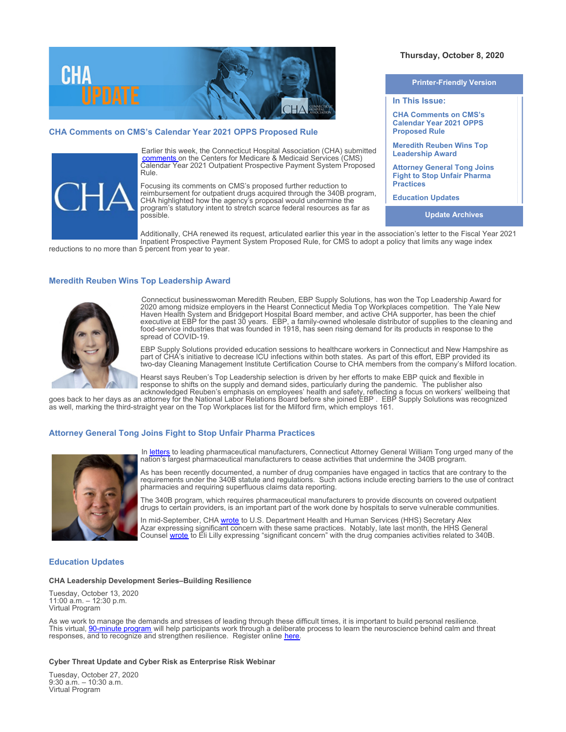

# **CHA Comments on CMS's Calendar Year 2021 OPPS Proposed Rule**



Earlier this week, the Connecticut Hospital Association (CHA) submitted [comments](https://documents.cthosp.org/9/Lori/CHACY2021OPPSProposedRuleLetter.pdf) on the Centers for Medicare & Medicaid Services (CMS) Calendar Year 2021 Outpatient Prospective Payment System Proposed Rule.

Focusing its comments on CMS's proposed further reduction to reimbursement for outpatient drugs acquired through the 340B program, CHA highlighted how the agency's proposal would undermine the program's statutory intent to stretch scarce federal resources as far as possible.

**Printer-Friendly Version**

**Thursday, October 8, 2020** 

**CHA Comments on CMS's Calendar Year 2021 OPPS Proposed Rule Meredith Reuben Wins Top**

**Leadership Award**

**Attorney General Tong Joins Fight to Stop Unfair Pharma Practices** 

**Education Updates**

**In This Issue:**

**Update Archives**

Additionally, CHA renewed its request, articulated earlier this year in the association's letter to the Fiscal Year 2021 Inpatient Prospective Payment System Proposed Rule, for CMS to adopt a policy that limits any wage index

reductions to no more than 5 percent from year to year.

## **Meredith Reuben Wins Top Leadership Award**



Connecticut businesswoman Meredith Reuben, EBP Supply Solutions, has won the Top Leadership Award for 2020 among midsize employers in the Hearst Connecticut Media Top Workplaces competition. The Yale New Haven Health System and Bridgeport Hospital Board member, and active CHA supporter, has been the chief executive at EBP for the past 30 years. EBP, a family-owned wholesale distributor of supplies to the cleaning and food-service industries that was founded in 1918, has seen rising demand for its products in response to the spread of COVID-19.

EBP Supply Solutions provided education sessions to healthcare workers in Connecticut and New Hampshire as part of CHA's initiative to decrease ICU infections within both states. As part of this effort, EBP provided its two-day Cleaning Management Institute Certification Course to CHA members from the company's Milford location.

Hearst says Reuben's Top Leadership selection is driven by her efforts to make EBP quick and flexible in response to shifts on the supply and demand sides, particularly during the pandemic. The publisher also acknowledged Reuben's emphasis on employees' health and safety, reflecting a focus on workers' wellbeing that

goes back to her days as an attorney for the National Labor Relations Board before she joined EBP . EBP Supply Solutions was recognized as well, marking the third-straight year on the Top Workplaces list for the Milford firm, which employs 161.

### **Attorney General Tong Joins Fight to Stop Unfair Pharma Practices**



In [letters](https://portal.ct.gov/AG/Press-Releases/2020-Press-Releases/AG-Tong-Demands-Drug-Makers-Abandon-Unlawful-Actions-Imperiling-Access-to-Affordable-Prescriptions) to leading pharmaceutical manufacturers, Connecticut Attorney General William Tong urged many of the nation's largest pharmaceutical manufacturers to cease activities that undermine the 340B program.

As has been recently documented, a number of drug companies have engaged in tactics that are contrary to the requirements under the 340B statute and regulations. Such actions include erecting barriers to the use of contract pharmacies and requiring superfluous claims data reporting.

The 340B program, which requires pharmaceutical manufacturers to provide discounts on covered outpatient drugs to certain providers, is an important part of the work done by hospitals to serve vulnerable communities.

In mid-September, CHA [wrote](https://documents.cthosp.org/9/Lori/340B%20HHS%20Letter%209-15-20%20PK.pdf) to U.S. Department Health and Human Services (HHS) Secretary Alex Azar expressing significant concern with these same practices. Notably, late last month, the HHS General Counsel **[wrote](https://www.hrsa.gov/sites/default/files/hrsa/opa/pdf/hhs-eli-lilly-letter.pdf)** to Eli Lilly expressing "significant concern" with the drug companies activities related to 340B.

## **Education Updates**

### **CHA Leadership Development Series–Building Resilience**

Tuesday, October 13, 2020 11:00 a.m. – 12:30 p.m. Virtual Program

As we work to manage the demands and stresses of leading through these difficult times, it is important to build personal resilience. This virtual, <u>90-minute program</u> will help participants work through a deliberate process to learn the neuroscience behind calm and threat responses, and to recognize and strengthen resilience. Register online [here](https://cthosp.org/eventcalendar/index.cfm?action=register&date=44117&id=886).

#### **Cyber Threat Update and Cyber Risk as Enterprise Risk Webinar**

Tuesday, October 27, 2020 9:30 a.m. – 10:30 a.m. Virtual Program